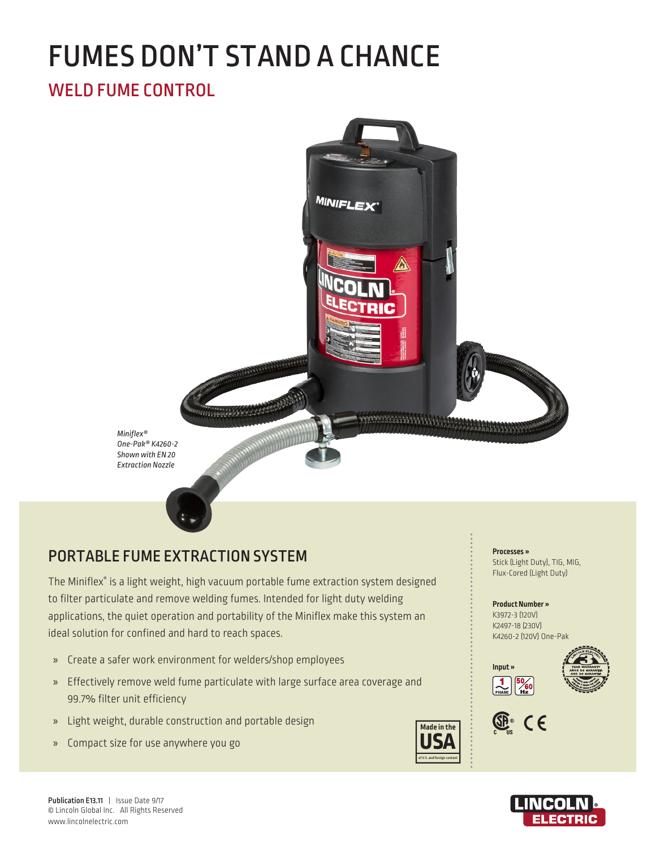# FUMES DON'T STAND A CHANCE

# WELD FUME CONTROL



# PORTABLE FUME EXTRACTION SYSTEM

The Miniflex® is a light weight, high vacuum portable fume extraction system designed to filter particulate and remove welding fumes. Intended for light duty welding applications, the quiet operation and portability of the Miniflex make this system an ideal solution for confined and hard to reach spaces.

- » Create a safer work environment for welders/shop employees
- » Effectively remove weld fume particulate with large surface area coverage and 99.7% filter unit efficiency
- » Light weight, durable construction and portable design
- » Compact size for use anywhere you go



**Processes »**  Stick (Light Duty), TIG, MIG, Flux-Cored (Light Duty)

**Product Number »**  K3972-3 (120V) K2497-18 (230V) K4260-2 (120V) One-Pak





**Input »** 



Publication E13.11 | Issue Date 9/17 © Lincoln Global Inc. All Rights Reserved www.lincolnelectric.com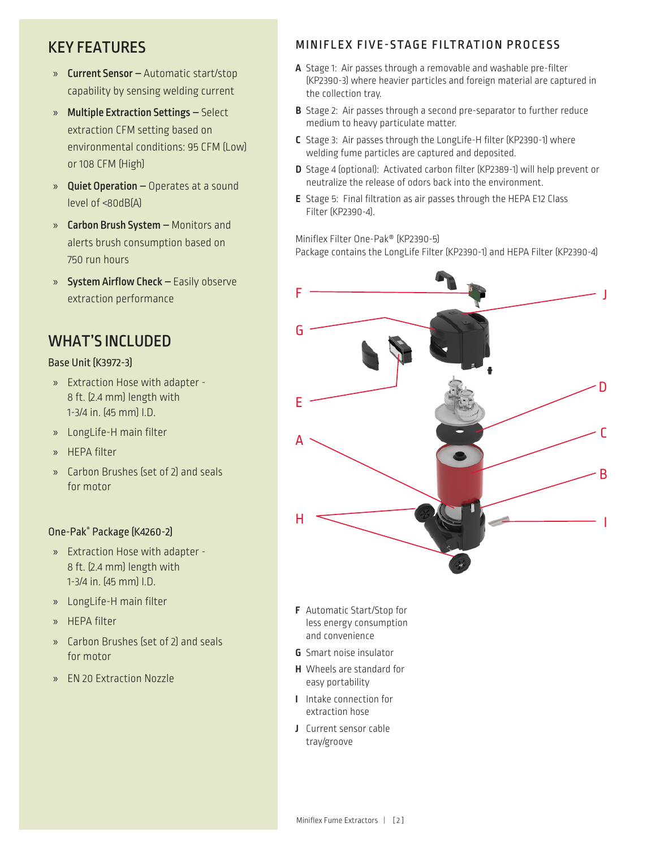## KEY FEATURES

- » Current Sensor Automatic start/stop capability by sensing welding current
- » Multiple Extraction Settings Select extraction CFM setting based on environmental conditions: 95 CFM (Low) or 108 CFM (High)
- » Quiet Operation Operates at a sound level of <80dB(A)
- » Carbon Brush System Monitors and alerts brush consumption based on 750 run hours
- » System Airflow Check Easily observe extraction performance

## WHAT'S INCLUDED

### Base Unit (K3972-3)

- » Extraction Hose with adapter 8 ft. (2.4 mm) length with 1-3/4 in. (45 mm) I.D.
- » LongLife-H main filter
- » HEPA filter
- » Carbon Brushes (set of 2) and seals for motor

## One-Pak® Package (K4260-2)

- » Extraction Hose with adapter 8 ft. (2.4 mm) length with 1-3/4 in. (45 mm) I.D.
- » LongLife-H main filter
- » HEPA filter
- » Carbon Brushes (set of 2) and seals for motor
- » EN 20 Extraction Nozzle

## MINIFLEX FIVE-STAGE FILTRATION PROCESS

- **A** Stage 1: Air passes through a removable and washable pre-filter (KP2390-3) where heavier particles and foreign material are captured in the collection tray.
- **B** Stage 2: Air passes through a second pre-separator to further reduce medium to heavy particulate matter.
- **C** Stage 3: Air passes through the LongLife-H filter (KP2390-1) where welding fume particles are captured and deposited.
- **D** Stage 4 (optional): Activated carbon filter (KP2389-1) will help prevent or neutralize the release of odors back into the environment.
- **E** Stage 5: Final filtration as air passes through the HEPA E12 Class Filter (KP2390-4).

Miniflex Filter One-Pak® (KP2390-5) Package contains the LongLife Filter (KP2390-1) and HEPA Filter (KP2390-4)



- **F** Automatic Start/Stop for less energy consumption and convenience
- **G** Smart noise insulator
- **H** Wheels are standard for easy portability
- **I** Intake connection for extraction hose
- **J** Current sensor cable tray/groove